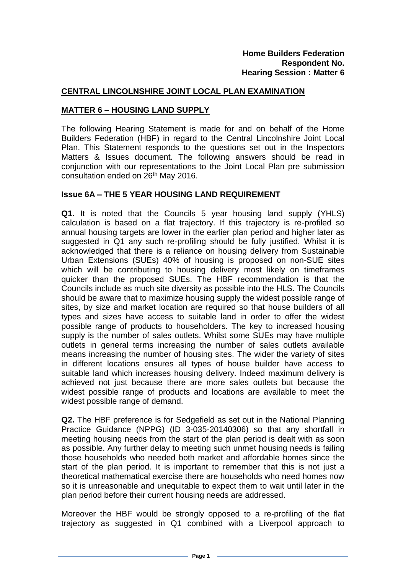#### **CENTRAL LINCOLNSHIRE JOINT LOCAL PLAN EXAMINATION**

#### **MATTER 6 – HOUSING LAND SUPPLY**

The following Hearing Statement is made for and on behalf of the Home Builders Federation (HBF) in regard to the Central Lincolnshire Joint Local Plan. This Statement responds to the questions set out in the Inspectors Matters & Issues document. The following answers should be read in conjunction with our representations to the Joint Local Plan pre submission consultation ended on 26th May 2016.

#### **Issue 6A – THE 5 YEAR HOUSING LAND REQUIREMENT**

**Q1.** It is noted that the Councils 5 year housing land supply (YHLS) calculation is based on a flat trajectory. If this trajectory is re-profiled so annual housing targets are lower in the earlier plan period and higher later as suggested in Q1 any such re-profiling should be fully justified. Whilst it is acknowledged that there is a reliance on housing delivery from Sustainable Urban Extensions (SUEs) 40% of housing is proposed on non-SUE sites which will be contributing to housing delivery most likely on timeframes quicker than the proposed SUEs. The HBF recommendation is that the Councils include as much site diversity as possible into the HLS. The Councils should be aware that to maximize housing supply the widest possible range of sites, by size and market location are required so that house builders of all types and sizes have access to suitable land in order to offer the widest possible range of products to householders. The key to increased housing supply is the number of sales outlets. Whilst some SUEs may have multiple outlets in general terms increasing the number of sales outlets available means increasing the number of housing sites. The wider the variety of sites in different locations ensures all types of house builder have access to suitable land which increases housing delivery. Indeed maximum delivery is achieved not just because there are more sales outlets but because the widest possible range of products and locations are available to meet the widest possible range of demand.

**Q2.** The HBF preference is for Sedgefield as set out in the National Planning Practice Guidance (NPPG) (ID 3-035-20140306) so that any shortfall in meeting housing needs from the start of the plan period is dealt with as soon as possible. Any further delay to meeting such unmet housing needs is failing those households who needed both market and affordable homes since the start of the plan period. It is important to remember that this is not just a theoretical mathematical exercise there are households who need homes now so it is unreasonable and unequitable to expect them to wait until later in the plan period before their current housing needs are addressed.

Moreover the HBF would be strongly opposed to a re-profiling of the flat trajectory as suggested in Q1 combined with a Liverpool approach to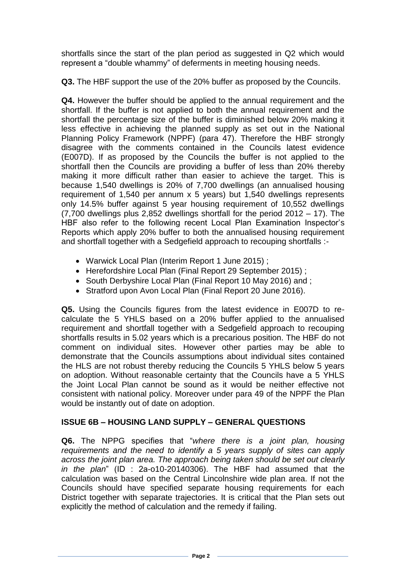shortfalls since the start of the plan period as suggested in Q2 which would represent a "double whammy" of deferments in meeting housing needs.

**Q3.** The HBF support the use of the 20% buffer as proposed by the Councils.

**Q4.** However the buffer should be applied to the annual requirement and the shortfall. If the buffer is not applied to both the annual requirement and the shortfall the percentage size of the buffer is diminished below 20% making it less effective in achieving the planned supply as set out in the National Planning Policy Framework (NPPF) (para 47). Therefore the HBF strongly disagree with the comments contained in the Councils latest evidence (E007D). If as proposed by the Councils the buffer is not applied to the shortfall then the Councils are providing a buffer of less than 20% thereby making it more difficult rather than easier to achieve the target. This is because 1,540 dwellings is 20% of 7,700 dwellings (an annualised housing requirement of 1,540 per annum x 5 years) but 1,540 dwellings represents only 14.5% buffer against 5 year housing requirement of 10,552 dwellings (7,700 dwellings plus 2,852 dwellings shortfall for the period 2012 – 17). The HBF also refer to the following recent Local Plan Examination Inspector's Reports which apply 20% buffer to both the annualised housing requirement and shortfall together with a Sedgefield approach to recouping shortfalls :-

- Warwick Local Plan (Interim Report 1 June 2015) ;
- Herefordshire Local Plan (Final Report 29 September 2015) ;
- South Derbyshire Local Plan (Final Report 10 May 2016) and ;
- Stratford upon Avon Local Plan (Final Report 20 June 2016).

**Q5.** Using the Councils figures from the latest evidence in E007D to recalculate the 5 YHLS based on a 20% buffer applied to the annualised requirement and shortfall together with a Sedgefield approach to recouping shortfalls results in 5.02 years which is a precarious position. The HBF do not comment on individual sites. However other parties may be able to demonstrate that the Councils assumptions about individual sites contained the HLS are not robust thereby reducing the Councils 5 YHLS below 5 years on adoption. Without reasonable certainty that the Councils have a 5 YHLS the Joint Local Plan cannot be sound as it would be neither effective not consistent with national policy. Moreover under para 49 of the NPPF the Plan would be instantly out of date on adoption.

# **ISSUE 6B – HOUSING LAND SUPPLY – GENERAL QUESTIONS**

**Q6.** The NPPG specifies that "*where there is a joint plan, housing requirements and the need to identify a 5 years supply of sites can apply across the joint plan area. The approach being taken should be set out clearly in the plan*" (ID : 2a-o10-20140306). The HBF had assumed that the calculation was based on the Central Lincolnshire wide plan area. If not the Councils should have specified separate housing requirements for each District together with separate trajectories. It is critical that the Plan sets out explicitly the method of calculation and the remedy if failing.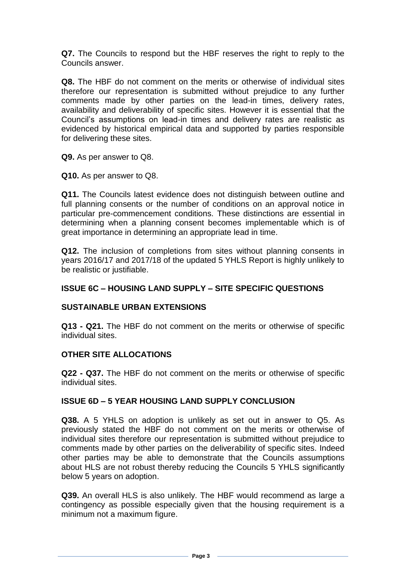**Q7.** The Councils to respond but the HBF reserves the right to reply to the Councils answer.

**Q8.** The HBF do not comment on the merits or otherwise of individual sites therefore our representation is submitted without prejudice to any further comments made by other parties on the lead-in times, delivery rates, availability and deliverability of specific sites. However it is essential that the Council's assumptions on lead-in times and delivery rates are realistic as evidenced by historical empirical data and supported by parties responsible for delivering these sites.

**Q9.** As per answer to Q8.

**Q10.** As per answer to Q8.

**Q11.** The Councils latest evidence does not distinguish between outline and full planning consents or the number of conditions on an approval notice in particular pre-commencement conditions. These distinctions are essential in determining when a planning consent becomes implementable which is of great importance in determining an appropriate lead in time.

**Q12.** The inclusion of completions from sites without planning consents in years 2016/17 and 2017/18 of the updated 5 YHLS Report is highly unlikely to be realistic or justifiable.

# **ISSUE 6C – HOUSING LAND SUPPLY – SITE SPECIFIC QUESTIONS**

### **SUSTAINABLE URBAN EXTENSIONS**

**Q13 - Q21.** The HBF do not comment on the merits or otherwise of specific individual sites.

### **OTHER SITE ALLOCATIONS**

**Q22 - Q37.** The HBF do not comment on the merits or otherwise of specific individual sites.

### **ISSUE 6D – 5 YEAR HOUSING LAND SUPPLY CONCLUSION**

**Q38.** A 5 YHLS on adoption is unlikely as set out in answer to Q5. As previously stated the HBF do not comment on the merits or otherwise of individual sites therefore our representation is submitted without prejudice to comments made by other parties on the deliverability of specific sites. Indeed other parties may be able to demonstrate that the Councils assumptions about HLS are not robust thereby reducing the Councils 5 YHLS significantly below 5 years on adoption.

**Q39.** An overall HLS is also unlikely. The HBF would recommend as large a contingency as possible especially given that the housing requirement is a minimum not a maximum figure.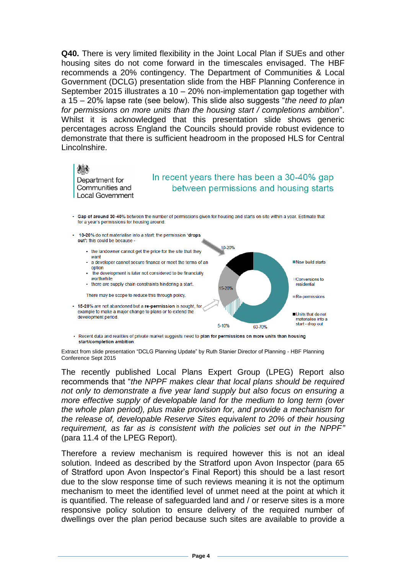**Q40.** There is very limited flexibility in the Joint Local Plan if SUEs and other housing sites do not come forward in the timescales envisaged. The HBF recommends a 20% contingency. The Department of Communities & Local Government (DCLG) presentation slide from the HBF Planning Conference in September 2015 illustrates a 10 – 20% non-implementation gap together with a 15 – 20% lapse rate (see below). This slide also suggests "*the need to plan for permissions on more units than the housing start / completions ambition*". Whilst it is acknowledged that this presentation slide shows generic percentages across England the Councils should provide robust evidence to demonstrate that there is sufficient headroom in the proposed HLS for Central Lincolnshire.

Department for Communities and **Local Government** 

# In recent years there has been a 30-40% gap between permissions and housing starts

· Gap of around 30-40% between the number of permissions given for housing and starts on site within a year. Estimate that for a year's permissions for housing around



- Recent data and realities of private market suggests need to plan for permissions on more units than housing start/completion ambition

Extract from slide presentation "DCLG Planning Update" by Ruth Stanier Director of Planning - HBF Planning Conference Sept 2015

The recently published Local Plans Expert Group (LPEG) Report also recommends that "*the NPPF makes clear that local plans should be required not only to demonstrate a five year land supply but also focus on ensuring a more effective supply of developable land for the medium to long term (over the whole plan period), plus make provision for, and provide a mechanism for the release of, developable Reserve Sites equivalent to 20% of their housing requirement, as far as is consistent with the policies set out in the NPPF"*  (para 11.4 of the LPEG Report)*.*

Therefore a review mechanism is required however this is not an ideal solution. Indeed as described by the Stratford upon Avon Inspector (para 65 of Stratford upon Avon Inspector's Final Report) this should be a last resort due to the slow response time of such reviews meaning it is not the optimum mechanism to meet the identified level of unmet need at the point at which it is quantified. The release of safeguarded land and / or reserve sites is a more responsive policy solution to ensure delivery of the required number of dwellings over the plan period because such sites are available to provide a